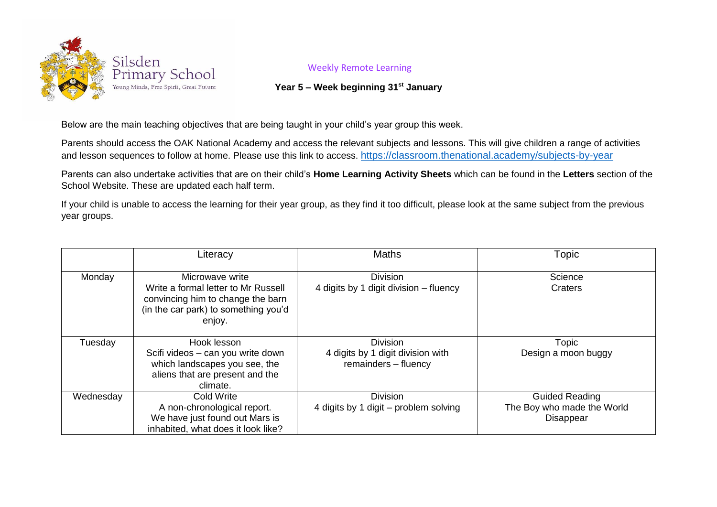

## Weekly Remote Learning

## **Year 5 – Week beginning 31st January**

Below are the main teaching objectives that are being taught in your child's year group this week.

Parents should access the OAK National Academy and access the relevant subjects and lessons. This will give children a range of activities and lesson sequences to follow at home. Please use this link to access. <https://classroom.thenational.academy/subjects-by-year>

Parents can also undertake activities that are on their child's **Home Learning Activity Sheets** which can be found in the **Letters** section of the School Website. These are updated each half term.

If your child is unable to access the learning for their year group, as they find it too difficult, please look at the same subject from the previous year groups.

|           | Literacy                                                                                                                                      | <b>Maths</b>                                                                 | Topic                                                                   |
|-----------|-----------------------------------------------------------------------------------------------------------------------------------------------|------------------------------------------------------------------------------|-------------------------------------------------------------------------|
| Monday    | Microwave write<br>Write a formal letter to Mr Russell<br>convincing him to change the barn<br>(in the car park) to something you'd<br>enjoy. | <b>Division</b><br>4 digits by 1 digit division – fluency                    | Science<br>Craters                                                      |
| Tuesday   | Hook lesson<br>Scifi videos – can you write down<br>which landscapes you see, the<br>aliens that are present and the<br>climate.              | <b>Division</b><br>4 digits by 1 digit division with<br>remainders - fluency | Topic<br>Design a moon buggy                                            |
| Wednesday | Cold Write<br>A non-chronological report.<br>We have just found out Mars is<br>inhabited, what does it look like?                             | <b>Division</b><br>4 digits by 1 digit - problem solving                     | <b>Guided Reading</b><br>The Boy who made the World<br><b>Disappear</b> |